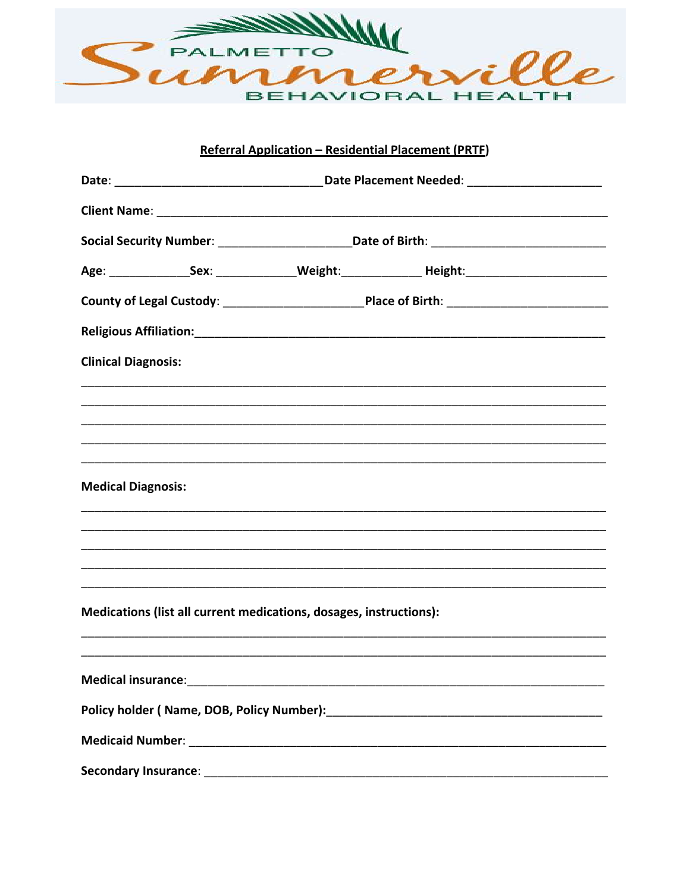

## Referral Application - Residential Placement (PRTF)

|                            | Social Security Number: ___________________________________Date of Birth: __________________________           |                                                                                                                |  |
|----------------------------|----------------------------------------------------------------------------------------------------------------|----------------------------------------------------------------------------------------------------------------|--|
|                            |                                                                                                                |                                                                                                                |  |
|                            |                                                                                                                |                                                                                                                |  |
|                            |                                                                                                                | Religious Affiliation: 1999 - 1999 - 1999 - 1999 - 1999 - 1999 - 1999 - 1999 - 1999 - 1999 - 1999 - 1999 - 199 |  |
| <b>Clinical Diagnosis:</b> |                                                                                                                |                                                                                                                |  |
|                            |                                                                                                                |                                                                                                                |  |
|                            |                                                                                                                |                                                                                                                |  |
|                            |                                                                                                                |                                                                                                                |  |
| <b>Medical Diagnosis:</b>  |                                                                                                                |                                                                                                                |  |
|                            |                                                                                                                |                                                                                                                |  |
|                            |                                                                                                                |                                                                                                                |  |
|                            |                                                                                                                |                                                                                                                |  |
|                            | Medications (list all current medications, dosages, instructions):                                             |                                                                                                                |  |
|                            |                                                                                                                |                                                                                                                |  |
|                            |                                                                                                                |                                                                                                                |  |
|                            |                                                                                                                |                                                                                                                |  |
|                            |                                                                                                                |                                                                                                                |  |
|                            | Secondary Insurance: expansion of the secondary in the second second second second second second second second |                                                                                                                |  |